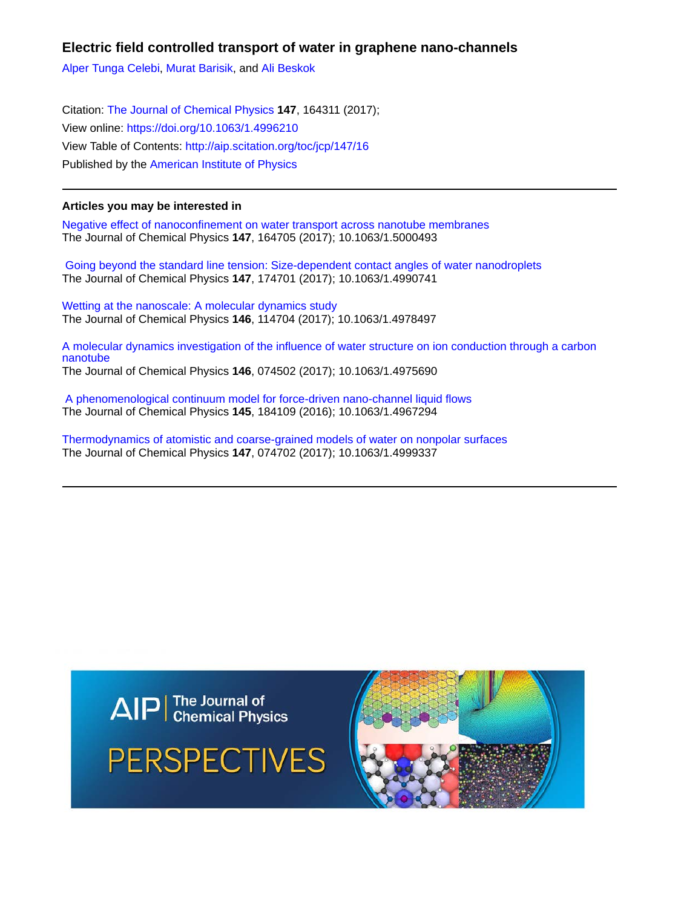## **Electric field controlled transport of water in graphene nano-channels**

[Alper Tunga Celebi](http://aip.scitation.org/author/Celebi%2C+Alper+Tunga), [Murat Barisik](http://aip.scitation.org/author/Barisik%2C+Murat), and [Ali Beskok](http://aip.scitation.org/author/Beskok%2C+Ali)

Citation: [The Journal of Chemical Physics](/loi/jcp) **147**, 164311 (2017); View online: <https://doi.org/10.1063/1.4996210> View Table of Contents: <http://aip.scitation.org/toc/jcp/147/16> Published by the [American Institute of Physics](http://aip.scitation.org/publisher/)

## **Articles you may be interested in**

[Negative effect of nanoconfinement on water transport across nanotube membranes](http://aip.scitation.org/doi/abs/10.1063/1.5000493) The Journal of Chemical Physics **147**, 164705 (2017); 10.1063/1.5000493

 [Going beyond the standard line tension: Size-dependent contact angles of water nanodroplets](http://aip.scitation.org/doi/abs/10.1063/1.4990741) The Journal of Chemical Physics **147**, 174701 (2017); 10.1063/1.4990741

[Wetting at the nanoscale: A molecular dynamics study](http://aip.scitation.org/doi/abs/10.1063/1.4978497) The Journal of Chemical Physics **146**, 114704 (2017); 10.1063/1.4978497

[A molecular dynamics investigation of the influence of water structure on ion conduction through a carbon](http://aip.scitation.org/doi/abs/10.1063/1.4975690) [nanotube](http://aip.scitation.org/doi/abs/10.1063/1.4975690) The Journal of Chemical Physics **146**, 074502 (2017); 10.1063/1.4975690

 [A phenomenological continuum model for force-driven nano-channel liquid flows](http://aip.scitation.org/doi/abs/10.1063/1.4967294) The Journal of Chemical Physics **145**, 184109 (2016); 10.1063/1.4967294

[Thermodynamics of atomistic and coarse-grained models of water on nonpolar surfaces](http://aip.scitation.org/doi/abs/10.1063/1.4999337) The Journal of Chemical Physics **147**, 074702 (2017); 10.1063/1.4999337



**PERSPECTIVES** 

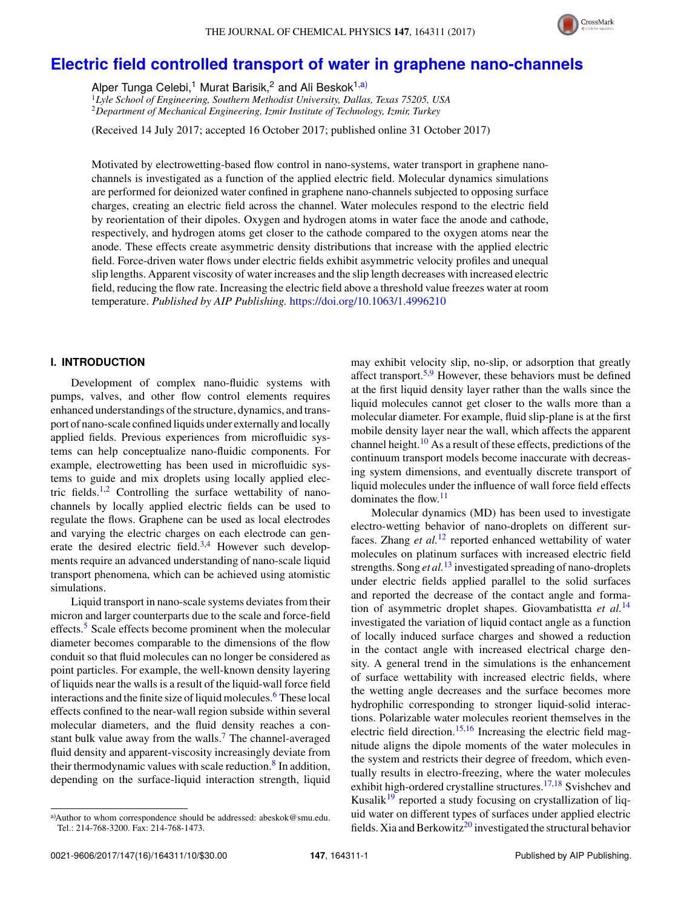

# **[Electric field controlled transport of water in graphene nano-channels](https://doi.org/10.1063/1.4996210)**

Alper Tunga Celebi,<sup>1</sup> Murat Barisik,<sup>2</sup> and Ali Beskok<sup>1[,a\)](#page-1-0)</sup>

<sup>1</sup>*Lyle School of Engineering, Southern Methodist University, Dallas, Texas 75205, USA* <sup>2</sup>*Department of Mechanical Engineering, Izmir Institute of Technology, Izmir, Turkey*

(Received 14 July 2017; accepted 16 October 2017; published online 31 October 2017)

Motivated by electrowetting-based flow control in nano-systems, water transport in graphene nanochannels is investigated as a function of the applied electric field. Molecular dynamics simulations are performed for deionized water confined in graphene nano-channels subjected to opposing surface charges, creating an electric field across the channel. Water molecules respond to the electric field by reorientation of their dipoles. Oxygen and hydrogen atoms in water face the anode and cathode, respectively, and hydrogen atoms get closer to the cathode compared to the oxygen atoms near the anode. These effects create asymmetric density distributions that increase with the applied electric field. Force-driven water flows under electric fields exhibit asymmetric velocity profiles and unequal slip lengths. Apparent viscosity of water increases and the slip length decreases with increased electric field, reducing the flow rate. Increasing the electric field above a threshold value freezes water at room temperature. *Published by AIP Publishing.* <https://doi.org/10.1063/1.4996210>

### **I. INTRODUCTION**

Development of complex nano-fluidic systems with pumps, valves, and other flow control elements requires enhanced understandings of the structure, dynamics, and transport of nano-scale confined liquids under externally and locally applied fields. Previous experiences from microfluidic systems can help conceptualize nano-fluidic components. For example, electrowetting has been used in microfluidic systems to guide and mix droplets using locally applied elec-tric fields.<sup>[1](#page-9-0)[,2](#page-9-1)</sup> Controlling the surface wettability of nanochannels by locally applied electric fields can be used to regulate the flows. Graphene can be used as local electrodes and varying the electric charges on each electrode can generate the desired electric field. $3,4$  $3,4$  However such developments require an advanced understanding of nano-scale liquid transport phenomena, which can be achieved using atomistic simulations.

Liquid transport in nano-scale systems deviates from their micron and larger counterparts due to the scale and force-field effects.<sup>[5](#page-9-4)</sup> Scale effects become prominent when the molecular diameter becomes comparable to the dimensions of the flow conduit so that fluid molecules can no longer be considered as point particles. For example, the well-known density layering of liquids near the walls is a result of the liquid-wall force field interactions and the finite size of liquid molecules.<sup>[6](#page-9-5)</sup> These local effects confined to the near-wall region subside within several molecular diameters, and the fluid density reaches a con-stant bulk value away from the walls.<sup>[7](#page-9-6)</sup> The channel-averaged fluid density and apparent-viscosity increasingly deviate from their thermodynamic values with scale reduction.<sup>[8](#page-9-7)</sup> In addition, depending on the surface-liquid interaction strength, liquid

may exhibit velocity slip, no-slip, or adsorption that greatly affect transport.<sup>[5,](#page-9-4)[9](#page-9-8)</sup> However, these behaviors must be defined at the first liquid density layer rather than the walls since the liquid molecules cannot get closer to the walls more than a molecular diameter. For example, fluid slip-plane is at the first mobile density layer near the wall, which affects the apparent channel height.<sup>[10](#page-9-9)</sup> As a result of these effects, predictions of the continuum transport models become inaccurate with decreasing system dimensions, and eventually discrete transport of liquid molecules under the influence of wall force field effects dominates the flow.[11](#page-9-10)

Molecular dynamics (MD) has been used to investigate electro-wetting behavior of nano-droplets on different surfaces. Zhang *et al.*[12](#page-9-11) reported enhanced wettability of water molecules on platinum surfaces with increased electric field strengths. Song *et al.*<sup>[13](#page-9-12)</sup> investigated spreading of nano-droplets under electric fields applied parallel to the solid surfaces and reported the decrease of the contact angle and formation of asymmetric droplet shapes. Giovambatistta *et al.*[14](#page-9-13) investigated the variation of liquid contact angle as a function of locally induced surface charges and showed a reduction in the contact angle with increased electrical charge density. A general trend in the simulations is the enhancement of surface wettability with increased electric fields, where the wetting angle decreases and the surface becomes more hydrophilic corresponding to stronger liquid-solid interactions. Polarizable water molecules reorient themselves in the electric field direction.<sup>[15](#page-9-14)[,16](#page-9-15)</sup> Increasing the electric field magnitude aligns the dipole moments of the water molecules in the system and restricts their degree of freedom, which eventually results in electro-freezing, where the water molecules exhibit high-ordered crystalline structures.<sup>[17](#page-9-16)[,18](#page-9-17)</sup> Svishchev and Kusalik $19$  reported a study focusing on crystallization of liquid water on different types of surfaces under applied electric fields. Xia and Berkowitz<sup>[20](#page-9-19)</sup> investigated the structural behavior

<span id="page-1-0"></span>a)Author to whom correspondence should be addressed: [abeskok@smu.edu.](mailto:abeskok@smu.edu) Tel.: 214-768-3200. Fax: 214-768-1473.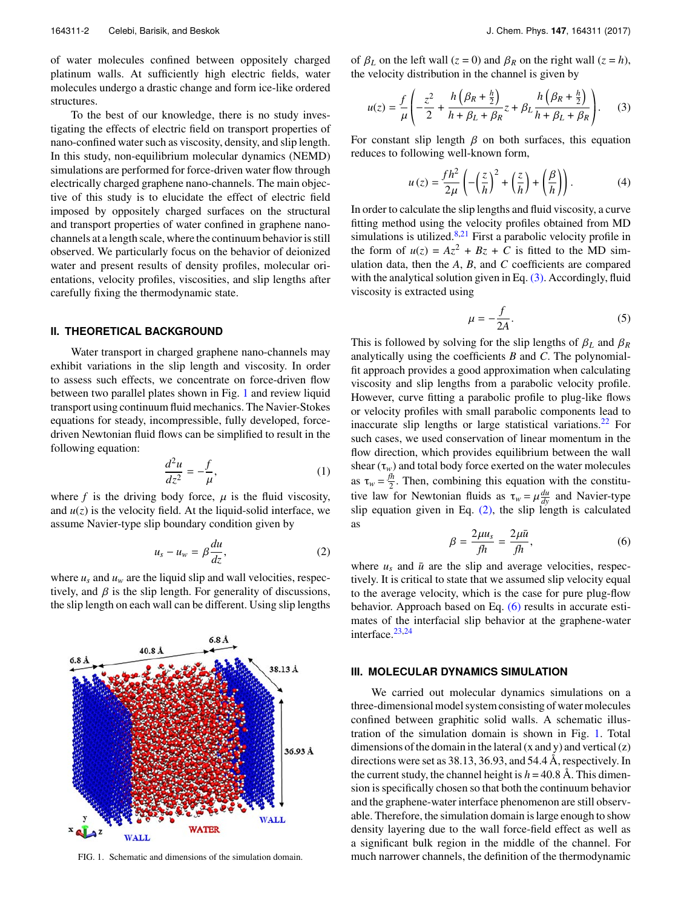of water molecules confined between oppositely charged platinum walls. At sufficiently high electric fields, water molecules undergo a drastic change and form ice-like ordered structures.

To the best of our knowledge, there is no study investigating the effects of electric field on transport properties of nano-confined water such as viscosity, density, and slip length. In this study, non-equilibrium molecular dynamics (NEMD) simulations are performed for force-driven water flow through electrically charged graphene nano-channels. The main objective of this study is to elucidate the effect of electric field imposed by oppositely charged surfaces on the structural and transport properties of water confined in graphene nanochannels at a length scale, where the continuum behavior is still observed. We particularly focus on the behavior of deionized water and present results of density profiles, molecular orientations, velocity profiles, viscosities, and slip lengths after carefully fixing the thermodynamic state.

#### <span id="page-2-4"></span>**II. THEORETICAL BACKGROUND**

Water transport in charged graphene nano-channels may exhibit variations in the slip length and viscosity. In order to assess such effects, we concentrate on force-driven flow between two parallel plates shown in Fig. [1](#page-2-0) and review liquid transport using continuum fluid mechanics. The Navier-Stokes equations for steady, incompressible, fully developed, forcedriven Newtonian fluid flows can be simplified to result in the following equation:

$$
\frac{d^2u}{dz^2} = -\frac{f}{\mu},\tag{1}
$$

where *f* is the driving body force,  $\mu$  is the fluid viscosity,<br>and  $u(z)$  is the velocity field. At the liquid-solid interface, we and  $u(z)$  is the velocity field. At the liquid-solid interface, we assume Navier-type slip boundary condition given by

<span id="page-2-2"></span>
$$
u_s - u_w = \beta \frac{du}{dz},\tag{2}
$$

where  $u_s$  and  $u_w$  are the liquid slip and wall velocities, respectively, and  $\beta$  is the slip length. For generality of discussions, the slip length on each wall can be different. Using slip lengths

<span id="page-2-0"></span>

FIG. 1. Schematic and dimensions of the simulation domain.

of  $\beta_L$  on the left wall ( $z = 0$ ) and  $\beta_R$  on the right wall ( $z = h$ ), the velocity distribution in the channel is given by

<span id="page-2-1"></span>
$$
u(z) = \frac{f}{\mu} \left( -\frac{z^2}{2} + \frac{h \left( \beta_R + \frac{h}{2} \right)}{h + \beta_L + \beta_R} z + \beta_L \frac{h \left( \beta_R + \frac{h}{2} \right)}{h + \beta_L + \beta_R} \right). \tag{3}
$$

For constant slip length  $\beta$  on both surfaces, this equation reduces to following well-known form,

<span id="page-2-5"></span>
$$
u(z) = \frac{fh^2}{2\mu} \left( -\left(\frac{z}{h}\right)^2 + \left(\frac{z}{h}\right) + \left(\frac{\beta}{h}\right) \right). \tag{4}
$$

In order to calculate the slip lengths and fluid viscosity, a curve fitting method using the velocity profiles obtained from MD simulations is utilized. $8,21$  $8,21$  First a parabolic velocity profile in the form of  $u(z) = Az^2 + Bz + C$  is fitted to the MD simulation data, then the *A*, *B*, and *C* coefficients are compared with the analytical solution given in Eq.  $(3)$ . Accordingly, fluid viscosity is extracted using

$$
\mu = -\frac{f}{2A}.\tag{5}
$$

This is followed by solving for the slip lengths of <sup>β</sup>*<sup>L</sup>* and <sup>β</sup>*<sup>R</sup>* analytically using the coefficients *B* and *C*. The polynomialfit approach provides a good approximation when calculating viscosity and slip lengths from a parabolic velocity profile. However, curve fitting a parabolic profile to plug-like flows or velocity profiles with small parabolic components lead to inaccurate slip lengths or large statistical variations. $22$  For such cases, we used conservation of linear momentum in the flow direction, which provides equilibrium between the wall shear  $(\tau_w)$  and total body force exerted on the water molecules as  $\tau_w = \frac{fh}{2}$  $\frac{n}{2}$ . Then, combining this equation with the constitutive law for Newtonian fluids as  $\tau_w = \mu \frac{du}{dy}$  and Navier-type<br>slip equation given in Eq. (2), the slip length is calculated slip equation given in Eq.  $(2)$ , the slip length is calculated as

<span id="page-2-3"></span>
$$
\beta = \frac{2\mu u_s}{fh} = \frac{2\mu \bar{u}}{fh},\tag{6}
$$

where  $u_s$  and  $\bar{u}$  are the slip and average velocities, respectively. It is critical to state that we assumed slip velocity equal to the average velocity, which is the case for pure plug-flow behavior. Approach based on Eq. [\(6\)](#page-2-3) results in accurate estimates of the interfacial slip behavior at the graphene-water interface. $23,24$  $23,24$ 

#### **III. MOLECULAR DYNAMICS SIMULATION**

We carried out molecular dynamics simulations on a three-dimensional model system consisting of water molecules confined between graphitic solid walls. A schematic illustration of the simulation domain is shown in Fig. [1.](#page-2-0) Total dimensions of the domain in the lateral  $(x \text{ and } y)$  and vertical  $(z)$ directions were set as 38.13, 36.93, and 54.4 Å, respectively. In the current study, the channel height is  $h = 40.8$  Å. This dimension is specifically chosen so that both the continuum behavior and the graphene-water interface phenomenon are still observable. Therefore, the simulation domain is large enough to show density layering due to the wall force-field effect as well as a significant bulk region in the middle of the channel. For much narrower channels, the definition of the thermodynamic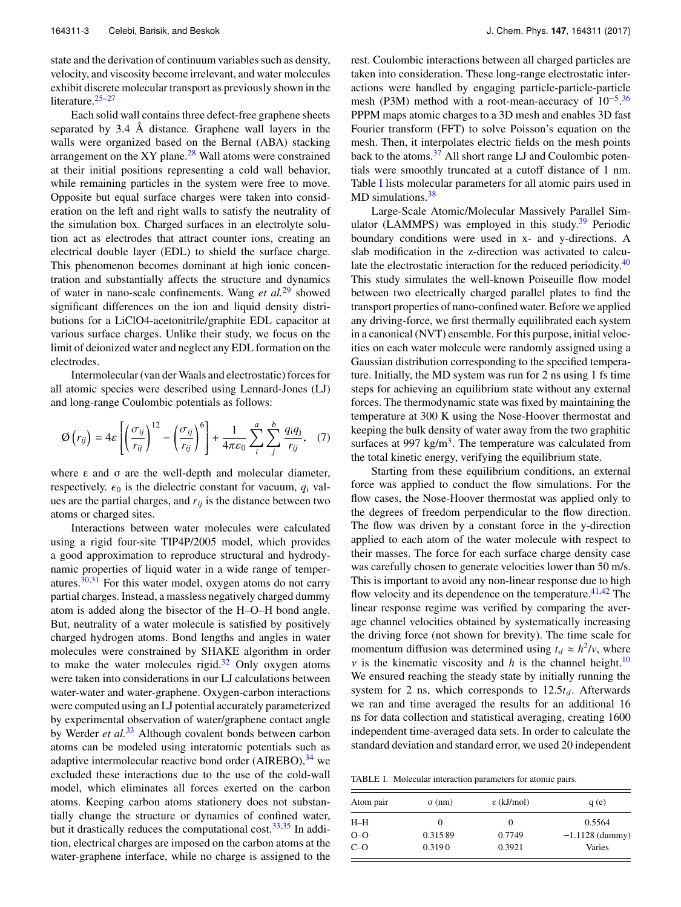state and the derivation of continuum variables such as density, velocity, and viscosity become irrelevant, and water molecules exhibit discrete molecular transport as previously shown in the literature.<sup>[25](#page-9-24)[–27](#page-9-25)</sup>

Each solid wall contains three defect-free graphene sheets separated by 3.4 Å distance. Graphene wall layers in the walls were organized based on the Bernal (ABA) stacking arrangement on the  $XY$  plane.<sup>[28](#page-9-26)</sup> Wall atoms were constrained at their initial positions representing a cold wall behavior, while remaining particles in the system were free to move. Opposite but equal surface charges were taken into consideration on the left and right walls to satisfy the neutrality of the simulation box. Charged surfaces in an electrolyte solution act as electrodes that attract counter ions, creating an electrical double layer (EDL) to shield the surface charge. This phenomenon becomes dominant at high ionic concentration and substantially affects the structure and dynamics of water in nano-scale confinements. Wang *et al.*[29](#page-9-27) showed significant differences on the ion and liquid density distributions for a LiClO4-acetonitrile/graphite EDL capacitor at various surface charges. Unlike their study, we focus on the limit of deionized water and neglect any EDL formation on the electrodes.

Intermolecular (van der Waals and electrostatic) forces for all atomic species were described using Lennard-Jones (LJ) and long-range Coulombic potentials as follows:

$$
\emptyset\left(r_{ij}\right) = 4\varepsilon \left[ \left(\frac{\sigma_{ij}}{r_{ij}}\right)^{12} - \left(\frac{\sigma_{ij}}{r_{ij}}\right)^{6} \right] + \frac{1}{4\pi\varepsilon_{0}} \sum_{i}^{a} \sum_{j}^{b} \frac{q_{i}q_{j}}{r_{ij}}, \quad (7)
$$

where  $\varepsilon$  and  $\sigma$  are the well-depth and molecular diameter, respectively.  $\epsilon_0$  is the dielectric constant for vacuum,  $q_i$  values are the partial charges, and *rij* is the distance between two atoms or charged sites.

Interactions between water molecules were calculated using a rigid four-site TIP4P/2005 model, which provides a good approximation to reproduce structural and hydrodynamic properties of liquid water in a wide range of temperatures. $30,31$  $30,31$  For this water model, oxygen atoms do not carry partial charges. Instead, a massless negatively charged dummy atom is added along the bisector of the H–O–H bond angle. But, neutrality of a water molecule is satisfied by positively charged hydrogen atoms. Bond lengths and angles in water molecules were constrained by SHAKE algorithm in order to make the water molecules rigid. $32$  Only oxygen atoms were taken into considerations in our LJ calculations between water-water and water-graphene. Oxygen-carbon interactions were computed using an LJ potential accurately parameterized by experimental observation of water/graphene contact angle by Werder *et al.*[33](#page-9-31) Although covalent bonds between carbon atoms can be modeled using interatomic potentials such as adaptive intermolecular reactive bond order (AIREBO), $34$  we excluded these interactions due to the use of the cold-wall model, which eliminates all forces exerted on the carbon atoms. Keeping carbon atoms stationery does not substantially change the structure or dynamics of confined water, but it drastically reduces the computational cost. $33,35$  $33,35$  In addition, electrical charges are imposed on the carbon atoms at the water-graphene interface, while no charge is assigned to the rest. Coulombic interactions between all charged particles are taken into consideration. These long-range electrostatic interactions were handled by engaging particle-particle-particle taken into consideration. These long-range electrostatic int<br>actions were handled by engaging particle-particle-partitionesh (P3M) method with a root-mean-accuracy of  $10^{-5}$ . [36](#page-9-34) PPPM maps atomic charges to a 3D mesh and enables 3D fast Fourier transform (FFT) to solve Poisson's equation on the mesh. Then, it interpolates electric fields on the mesh points back to the atoms.<sup>[37](#page-9-35)</sup> All short range LJ and Coulombic potentials were smoothly truncated at a cutoff distance of 1 nm. Table [I](#page-3-0) lists molecular parameters for all atomic pairs used in MD simulations.<sup>[38](#page-9-36)</sup>

Large-Scale Atomic/Molecular Massively Parallel Simulator (LAMMPS) was employed in this study. $39$  Periodic boundary conditions were used in x- and y-directions. A slab modification in the z-direction was activated to calcu-late the electrostatic interaction for the reduced periodicity.<sup>[40](#page-9-38)</sup> This study simulates the well-known Poiseuille flow model between two electrically charged parallel plates to find the transport properties of nano-confined water. Before we applied any driving-force, we first thermally equilibrated each system in a canonical (NVT) ensemble. For this purpose, initial velocities on each water molecule were randomly assigned using a Gaussian distribution corresponding to the specified temperature. Initially, the MD system was run for 2 ns using 1 fs time steps for achieving an equilibrium state without any external forces. The thermodynamic state was fixed by maintaining the temperature at 300 K using the Nose-Hoover thermostat and keeping the bulk density of water away from the two graphitic surfaces at 997 kg/m<sup>3</sup>. The temperature was calculated from the total kinetic energy, verifying the equilibrium state.

Starting from these equilibrium conditions, an external force was applied to conduct the flow simulations. For the flow cases, the Nose-Hoover thermostat was applied only to the degrees of freedom perpendicular to the flow direction. The flow was driven by a constant force in the y-direction applied to each atom of the water molecule with respect to their masses. The force for each surface charge density case was carefully chosen to generate velocities lower than 50 m/s. This is important to avoid any non-linear response due to high flow velocity and its dependence on the temperature.<sup>[41,](#page-9-39)[42](#page-9-40)</sup> The linear response regime was verified by comparing the average channel velocities obtained by systematically increasing the driving force (not shown for brevity). The time scale for momentum diffusion was determined using  $t_d \approx h^2/v$ , where  $\nu$  is the kinematic viscosity and *h* is the channel height.<sup>[10](#page-9-9)</sup> We ensured reaching the steady state by initially running the system for 2 ns, which corresponds to  $12.5t_d$ . Afterwards we ran and time averaged the results for an additional 16 ns for data collection and statistical averaging, creating 1600 independent time-averaged data sets. In order to calculate the standard deviation and standard error, we used 20 independent

<span id="page-3-0"></span>TABLE I. Molecular interaction parameters for atomic pairs.

| Atom pair | $\sigma$ (nm) | $\epsilon$ (kJ/mol) | q(e)              |  |
|-----------|---------------|---------------------|-------------------|--|
| $H-H$     | $_{0}$        | 0                   | 0.5564            |  |
| $O-O$     | 0.31589       | 0.7749              | $-1.1128$ (dummy) |  |
| $C-O$     | 0.3190        | 0.3921              | Varies            |  |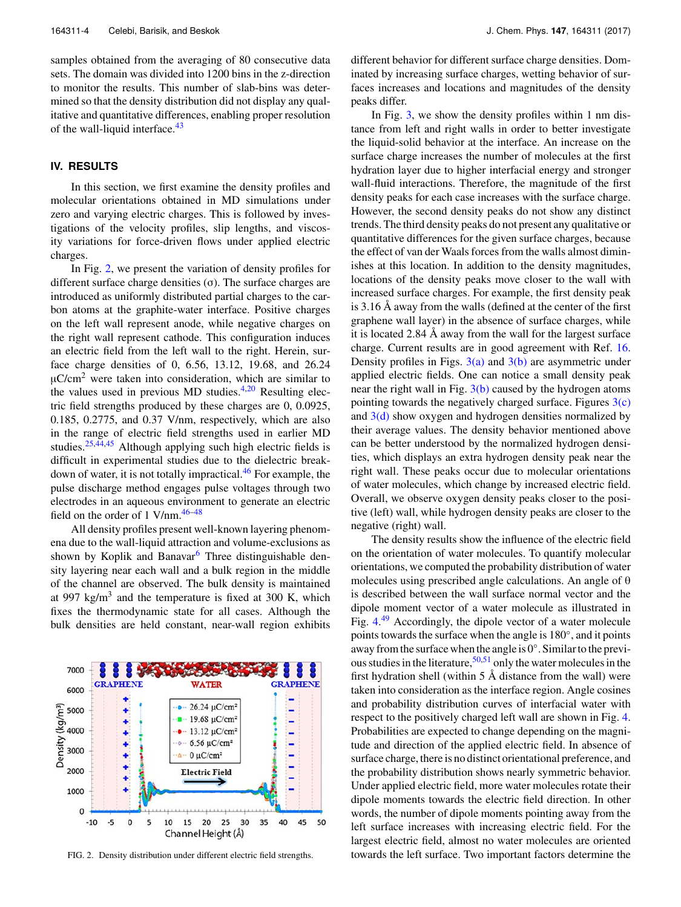samples obtained from the averaging of 80 consecutive data sets. The domain was divided into 1200 bins in the z-direction to monitor the results. This number of slab-bins was determined so that the density distribution did not display any qualitative and quantitative differences, enabling proper resolution of the wall-liquid interface.<sup>[43](#page-9-41)</sup>

#### **IV. RESULTS**

In this section, we first examine the density profiles and molecular orientations obtained in MD simulations under zero and varying electric charges. This is followed by investigations of the velocity profiles, slip lengths, and viscosity variations for force-driven flows under applied electric charges.

In Fig. [2,](#page-4-0) we present the variation of density profiles for different surface charge densities (σ). The surface charges are introduced as uniformly distributed partial charges to the carbon atoms at the graphite-water interface. Positive charges on the left wall represent anode, while negative charges on the right wall represent cathode. This configuration induces an electric field from the left wall to the right. Herein, surface charge densities of 0, 6.56, 13.12, 19.68, and 26.24  $\mu$ C/cm<sup>2</sup> were taken into consideration, which are similar to the values used in previous MD studies. $4,20$  $4,20$  Resulting electric field strengths produced by these charges are 0, 0.0925, 0.185, 0.2775, and 0.37 V/nm, respectively, which are also in the range of electric field strengths used in earlier MD studies.<sup>[25,](#page-9-24)[44](#page-9-42)[,45](#page-9-43)</sup> Although applying such high electric fields is difficult in experimental studies due to the dielectric break-down of water, it is not totally impractical.<sup>[46](#page-9-44)</sup> For example, the pulse discharge method engages pulse voltages through two electrodes in an aqueous environment to generate an electric field on the order of 1 V/nm. $46-48$  $46-48$ 

All density profiles present well-known layering phenomena due to the wall-liquid attraction and volume-exclusions as shown by Koplik and Banavar<sup>[6](#page-9-5)</sup> Three distinguishable density layering near each wall and a bulk region in the middle of the channel are observed. The bulk density is maintained at 997 kg/ $m<sup>3</sup>$  and the temperature is fixed at 300 K, which fixes the thermodynamic state for all cases. Although the bulk densities are held constant, near-wall region exhibits

<span id="page-4-0"></span>

FIG. 2. Density distribution under different electric field strengths.

different behavior for different surface charge densities. Dominated by increasing surface charges, wetting behavior of surfaces increases and locations and magnitudes of the density peaks differ.

In Fig. [3,](#page-5-0) we show the density profiles within 1 nm distance from left and right walls in order to better investigate the liquid-solid behavior at the interface. An increase on the surface charge increases the number of molecules at the first hydration layer due to higher interfacial energy and stronger wall-fluid interactions. Therefore, the magnitude of the first density peaks for each case increases with the surface charge. However, the second density peaks do not show any distinct trends. The third density peaks do not present any qualitative or quantitative differences for the given surface charges, because the effect of van der Waals forces from the walls almost diminishes at this location. In addition to the density magnitudes, locations of the density peaks move closer to the wall with increased surface charges. For example, the first density peak is 3.16 Å away from the walls (defined at the center of the first graphene wall layer) in the absence of surface charges, while it is located 2.84 Å away from the wall for the largest surface charge. Current results are in good agreement with Ref. [16.](#page-9-15) Density profiles in Figs.  $3(a)$  and  $3(b)$  are asymmetric under applied electric fields. One can notice a small density peak near the right wall in Fig.  $3(b)$  caused by the hydrogen atoms pointing towards the negatively charged surface. Figures  $3(c)$ and  $3(d)$  show oxygen and hydrogen densities normalized by their average values. The density behavior mentioned above can be better understood by the normalized hydrogen densities, which displays an extra hydrogen density peak near the right wall. These peaks occur due to molecular orientations of water molecules, which change by increased electric field. Overall, we observe oxygen density peaks closer to the positive (left) wall, while hydrogen density peaks are closer to the negative (right) wall.

The density results show the influence of the electric field on the orientation of water molecules. To quantify molecular orientations, we computed the probability distribution of water molecules using prescribed angle calculations. An angle of  $\theta$ is described between the wall surface normal vector and the dipole moment vector of a water molecule as illustrated in Fig. [4.](#page-5-1)<sup>[49](#page-9-46)</sup> Accordingly, the dipole vector of a water molecule points towards the surface when the angle is 180◦ , and it points away from the surface when the angle is 0°. Similar to the previous studies in the literature,  $50,51$  $50,51$  only the water molecules in the first hydration shell (within 5 Å distance from the wall) were taken into consideration as the interface region. Angle cosines and probability distribution curves of interfacial water with respect to the positively charged left wall are shown in Fig. [4.](#page-5-1) Probabilities are expected to change depending on the magnitude and direction of the applied electric field. In absence of surface charge, there is no distinct orientational preference, and the probability distribution shows nearly symmetric behavior. Under applied electric field, more water molecules rotate their dipole moments towards the electric field direction. In other words, the number of dipole moments pointing away from the left surface increases with increasing electric field. For the largest electric field, almost no water molecules are oriented towards the left surface. Two important factors determine the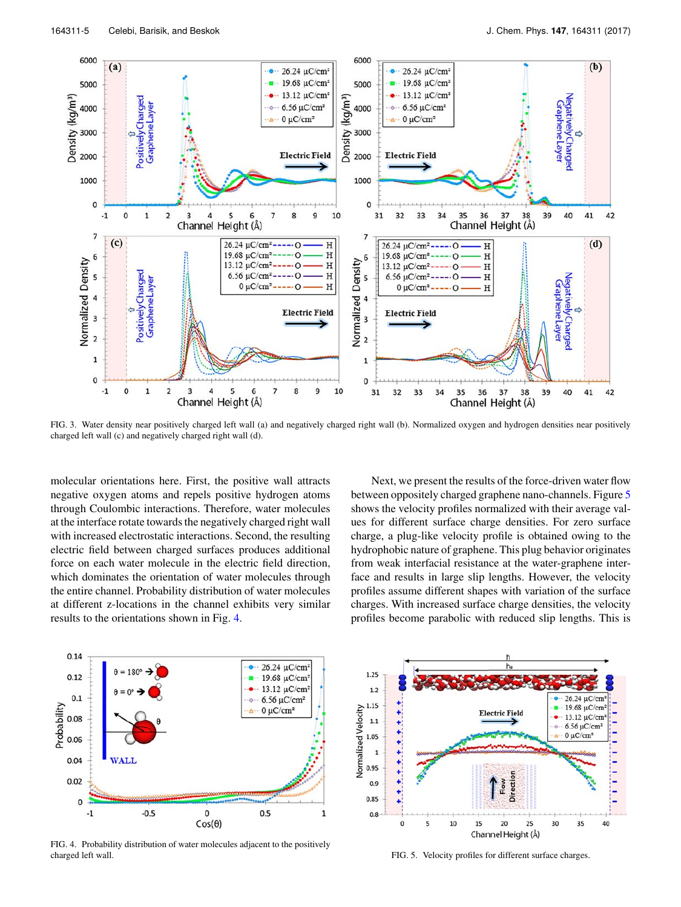<span id="page-5-0"></span>

FIG. 3. Water density near positively charged left wall (a) and negatively charged right wall (b). Normalized oxygen and hydrogen densities near positively charged left wall (c) and negatively charged right wall (d).

molecular orientations here. First, the positive wall attracts negative oxygen atoms and repels positive hydrogen atoms through Coulombic interactions. Therefore, water molecules at the interface rotate towards the negatively charged right wall with increased electrostatic interactions. Second, the resulting electric field between charged surfaces produces additional force on each water molecule in the electric field direction, which dominates the orientation of water molecules through the entire channel. Probability distribution of water molecules at different z-locations in the channel exhibits very similar results to the orientations shown in Fig. [4.](#page-5-1)

Next, we present the results of the force-driven water flow between oppositely charged graphene nano-channels. Figure [5](#page-5-2) shows the velocity profiles normalized with their average values for different surface charge densities. For zero surface charge, a plug-like velocity profile is obtained owing to the hydrophobic nature of graphene. This plug behavior originates from weak interfacial resistance at the water-graphene interface and results in large slip lengths. However, the velocity profiles assume different shapes with variation of the surface charges. With increased surface charge densities, the velocity profiles become parabolic with reduced slip lengths. This is

<span id="page-5-1"></span>

FIG. 4. Probability distribution of water molecules adjacent to the positively charged left wall.

<span id="page-5-2"></span>

FIG. 5. Velocity profiles for different surface charges.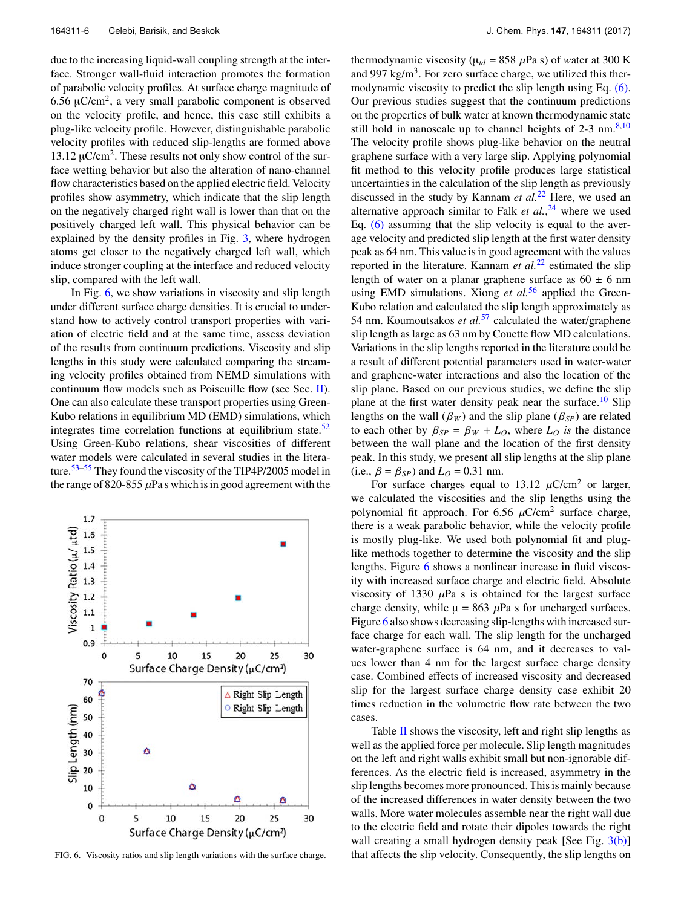due to the increasing liquid-wall coupling strength at the interface. Stronger wall-fluid interaction promotes the formation of parabolic velocity profiles. At surface charge magnitude of 6.56  $\mu$ C/cm<sup>2</sup>, a very small parabolic component is observed on the velocity profile, and hence, this case still exhibits a plug-like velocity profile. However, distinguishable parabolic velocity profiles with reduced slip-lengths are formed above  $13.12 \mu C/cm^2$ . These results not only show control of the surface wetting behavior but also the alteration of nano-channel flow characteristics based on the applied electric field. Velocity profiles show asymmetry, which indicate that the slip length on the negatively charged right wall is lower than that on the positively charged left wall. This physical behavior can be explained by the density profiles in Fig. [3,](#page-5-0) where hydrogen atoms get closer to the negatively charged left wall, which induce stronger coupling at the interface and reduced velocity slip, compared with the left wall.

In Fig. [6,](#page-6-0) we show variations in viscosity and slip length under different surface charge densities. It is crucial to understand how to actively control transport properties with variation of electric field and at the same time, assess deviation of the results from continuum predictions. Viscosity and slip lengths in this study were calculated comparing the streaming velocity profiles obtained from NEMD simulations with continuum flow models such as Poiseuille flow (see Sec. [II\)](#page-2-4). One can also calculate these transport properties using Green-Kubo relations in equilibrium MD (EMD) simulations, which integrates time correlation functions at equilibrium state. $52$ Using Green-Kubo relations, shear viscosities of different water models were calculated in several studies in the litera-ture.<sup>[53](#page-9-50)[–55](#page-10-0)</sup> They found the viscosity of the TIP4P/2005 model in the range of 820-855  $\mu$ Pa s which is in good agreement with the

<span id="page-6-0"></span>

FIG. 6. Viscosity ratios and slip length variations with the surface charge.

thermodynamic viscosity ( $\mu_{td}$  = 858  $\mu$ Pa s) of *w*ater at 300 K and 997 kg/m<sup>3</sup>. For zero surface charge, we utilized this thermodynamic viscosity to predict the slip length using Eq. [\(6\).](#page-2-3) Our previous studies suggest that the continuum predictions on the properties of bulk water at known thermodynamic state still hold in nanoscale up to channel heights of  $2-3$  nm.<sup>[8](#page-9-7)[,10](#page-9-9)</sup> The velocity profile shows plug-like behavior on the neutral graphene surface with a very large slip. Applying polynomial fit method to this velocity profile produces large statistical uncertainties in the calculation of the slip length as previously discussed in the study by Kannam *et al.*[22](#page-9-21) Here, we used an alternative approach similar to Falk *et al.*, [24](#page-9-23) where we used Eq. [\(6\)](#page-2-3) assuming that the slip velocity is equal to the average velocity and predicted slip length at the first water density peak as 64 nm. This value is in good agreement with the values reported in the literature. Kannam *et al.*[22](#page-9-21) estimated the slip length of water on a planar graphene surface as  $60 \pm 6$  nm using EMD simulations. Xiong *et al.*<sup>[56](#page-10-1)</sup> applied the Green-Kubo relation and calculated the slip length approximately as 54 nm. Koumoutsakos *et al.*[57](#page-10-2) calculated the water/graphene slip length as large as 63 nm by Couette flow MD calculations. Variations in the slip lengths reported in the literature could be a result of different potential parameters used in water-water and graphene-water interactions and also the location of the slip plane. Based on our previous studies, we define the slip plane at the first water density peak near the surface.<sup>[10](#page-9-9)</sup> Slip lengths on the wall  $(\beta_W)$  and the slip plane  $(\beta_{SP})$  are related to each other by  $\beta_{SP} = \beta_W + L_O$ , where  $L_O$  *is* the distance between the wall plane and the location of the first density peak. In this study, we present all slip lengths at the slip plane (i.e.,  $\beta = \beta_{SP}$ ) and  $L_O = 0.31$  nm.

For surface charges equal to 13.12  $\mu$ C/cm<sup>2</sup> or larger, we calculated the viscosities and the slip lengths using the polynomial fit approach. For  $6.56 \mu C/cm^2$  surface charge,<br>there is a weak parabolic behavior, while the velocity profile there is a weak parabolic behavior, while the velocity profile is mostly plug-like. We used both polynomial fit and pluglike methods together to determine the viscosity and the slip lengths. Figure [6](#page-6-0) shows a nonlinear increase in fluid viscosity with increased surface charge and electric field. Absolute viscosity of 1330  $\mu$ Pa s is obtained for the largest surface charge density, while  $\mu = 863 \mu Pa$  s for uncharged surfaces. Figure [6](#page-6-0) also shows decreasing slip-lengths with increased surface charge for each wall. The slip length for the uncharged water-graphene surface is 64 nm, and it decreases to values lower than 4 nm for the largest surface charge density case. Combined effects of increased viscosity and decreased slip for the largest surface charge density case exhibit 20 times reduction in the volumetric flow rate between the two cases.

Table  $II$  shows the viscosity, left and right slip lengths as well as the applied force per molecule. Slip length magnitudes on the left and right walls exhibit small but non-ignorable differences. As the electric field is increased, asymmetry in the slip lengths becomes more pronounced. This is mainly because of the increased differences in water density between the two walls. More water molecules assemble near the right wall due to the electric field and rotate their dipoles towards the right wall creating a small hydrogen density peak [See Fig. [3\(b\)\]](#page-5-0) that affects the slip velocity. Consequently, the slip lengths on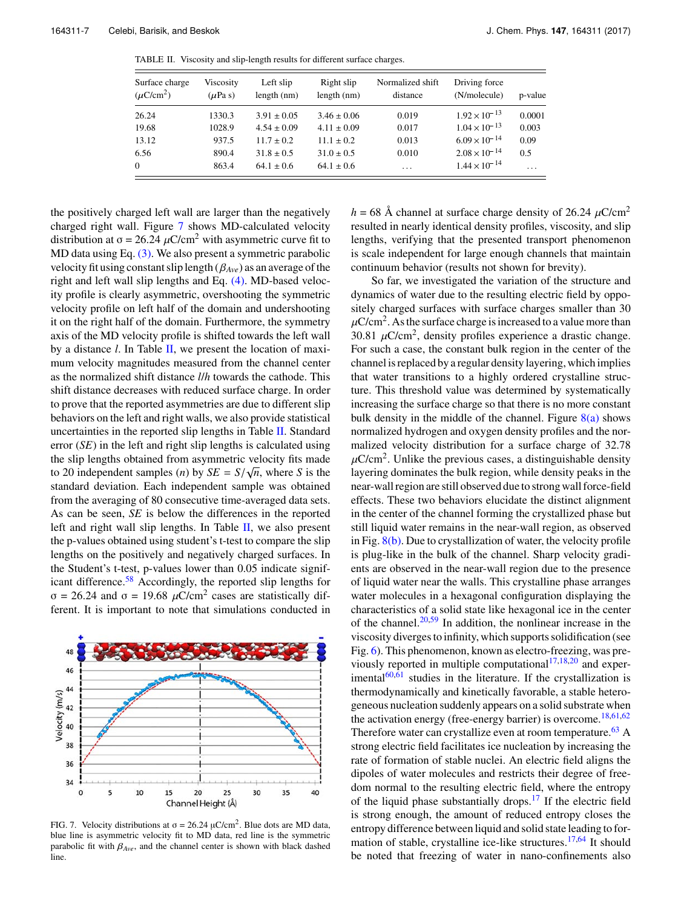<span id="page-7-0"></span>

| Surface charge<br>$(\mu$ C/cm <sup>2</sup> ) | Viscosity<br>$(\mu Pa s)$ | Left slip<br>length (nm) | Right slip<br>length (nm) | Normalized shift<br>distance | Driving force<br>(N/molecule) | p-value  |
|----------------------------------------------|---------------------------|--------------------------|---------------------------|------------------------------|-------------------------------|----------|
| 26.24                                        | 1330.3                    | $3.91 \pm 0.05$          | $3.46 \pm 0.06$           | 0.019                        | $1.92 \times 10^{-13}$        | 0.0001   |
| 19.68                                        | 1028.9                    | $4.54 \pm 0.09$          | $4.11 \pm 0.09$           | 0.017                        | $1.04 \times 10^{-13}$        | 0.003    |
| 13.12                                        | 937.5                     | $11.7 \pm 0.2$           | $11.1 \pm 0.2$            | 0.013                        | $6.09 \times 10^{-14}$        | 0.09     |
| 6.56                                         | 890.4                     | $31.8 \pm 0.5$           | $31.0 \pm 0.5$            | 0.010                        | $2.08 \times 10^{-14}$        | 0.5      |
| $\Omega$                                     | 863.4                     | $64.1 \pm 0.6$           | $64.1 \pm 0.6$            | $\cdots$                     | $1.44 \times 10^{-14}$        | $\cdots$ |

charged right wall. Figure [7](#page-7-1) shows MD-calculated velocity distribution at  $\sigma = 26.24 \mu C/cm^2$  with asymmetric curve fit to MD data using Eq. [\(3\).](#page-2-1) We also present a symmetric parabolic velocity fit using constant slip length (β*Ave*) as an average of the right and left wall slip lengths and Eq. [\(4\).](#page-2-5) MD-based velocity profile is clearly asymmetric, overshooting the symmetric velocity profile on left half of the domain and undershooting it on the right half of the domain. Furthermore, the symmetry axis of the MD velocity profile is shifted towards the left wall by a distance *l*. In Table [II,](#page-7-0) we present the location of maximum velocity magnitudes measured from the channel center as the normalized shift distance *l*/*h* towards the cathode. This shift distance decreases with reduced surface charge. In order to prove that the reported asymmetries are due to different slip behaviors on the left and right walls, we also provide statistical uncertainties in the reported slip lengths in Table [II.](#page-7-0) Standard error (*SE*) in the left and right slip lengths is calculated using the slip lengths obtained from asymmetric velocity fits made to 20 independent samples (*n*) by  $SE = S/\sqrt{n}$ , where *S* is the standard deviation. Each independent sample was obtained standard deviation. Each independent sample was obtained from the averaging of 80 consecutive time-averaged data sets. As can be seen, *SE* is below the differences in the reported left and right wall slip lengths. In Table  $II$ , we also present the p-values obtained using student's t-test to compare the slip lengths on the positively and negatively charged surfaces. In the Student's t-test, p-values lower than 0.05 indicate signif-icant difference.<sup>[58](#page-10-3)</sup> Accordingly, the reported slip lengths for  $\sigma = 26.24$  and  $\sigma = 19.68 \mu C/cm^2$  cases are statistically dif-<br>ferent. It is important to note that simulations conducted in ferent. It is important to note that simulations conducted in

the positively charged left wall are larger than the negatively

<span id="page-7-1"></span>

FIG. 7. Velocity distributions at  $\sigma = 26.24 \mu C/cm^2$ . Blue dots are MD data, blue line is asymmetric velocity fit to MD data, red line is the symmetric parabolic fit with  $\beta_{Ave}$ , and the channel center is shown with black dashed line.

 $h = 68$  Å channel at surface charge density of 26.24  $\mu$ C/cm<sup>2</sup> resulted in nearly identical density profiles, viscosity, and slip lengths, verifying that the presented transport phenomenon is scale independent for large enough channels that maintain continuum behavior (results not shown for brevity).

So far, we investigated the variation of the structure and dynamics of water due to the resulting electric field by oppositely charged surfaces with surface charges smaller than 30  $\mu$ C/cm<sup>2</sup>. As the surface charge is increased to a value more than  $30.81 \mu$ C/cm<sup>2</sup> density profiles experience a drastic change 30.81  $\mu$ C/cm<sup>2</sup>, density profiles experience a drastic change.<br>For such a case, the constant bulk region in the center of the For such a case, the constant bulk region in the center of the channel is replaced by a regular density layering, which implies that water transitions to a highly ordered crystalline structure. This threshold value was determined by systematically increasing the surface charge so that there is no more constant bulk density in the middle of the channel. Figure  $8(a)$  shows normalized hydrogen and oxygen density profiles and the normalized velocity distribution for a surface charge of 32.78  $\mu$ C/cm<sup>2</sup>. Unlike the previous cases, a distinguishable density<br>layering dominates the bulk region, while density peaks in the layering dominates the bulk region, while density peaks in the near-wall region are still observed due to strong wall force-field effects. These two behaviors elucidate the distinct alignment in the center of the channel forming the crystallized phase but still liquid water remains in the near-wall region, as observed in Fig.  $8(b)$ . Due to crystallization of water, the velocity profile is plug-like in the bulk of the channel. Sharp velocity gradients are observed in the near-wall region due to the presence of liquid water near the walls. This crystalline phase arranges water molecules in a hexagonal configuration displaying the characteristics of a solid state like hexagonal ice in the center of the channel. $20,59$  $20,59$  In addition, the nonlinear increase in the viscosity diverges to infinity, which supports solidification (see Fig. [6\)](#page-6-0). This phenomenon, known as electro-freezing, was pre-viously reported in multiple computational<sup>[17,](#page-9-16)[18](#page-9-17)[,20](#page-9-19)</sup> and experimental $60,61$  $60,61$  studies in the literature. If the crystallization is thermodynamically and kinetically favorable, a stable heterogeneous nucleation suddenly appears on a solid substrate when the activation energy (free-energy barrier) is overcome.<sup>[18,](#page-9-17)[61](#page-10-6)[,62](#page-10-7)</sup> Therefore water can crystallize even at room temperature.<sup>[63](#page-10-8)</sup> A strong electric field facilitates ice nucleation by increasing the rate of formation of stable nuclei. An electric field aligns the dipoles of water molecules and restricts their degree of freedom normal to the resulting electric field, where the entropy of the liquid phase substantially drops.<sup>[17](#page-9-16)</sup> If the electric field is strong enough, the amount of reduced entropy closes the entropy difference between liquid and solid state leading to for-mation of stable, crystalline ice-like structures.<sup>[17](#page-9-16)[,64](#page-10-9)</sup> It should be noted that freezing of water in nano-confinements also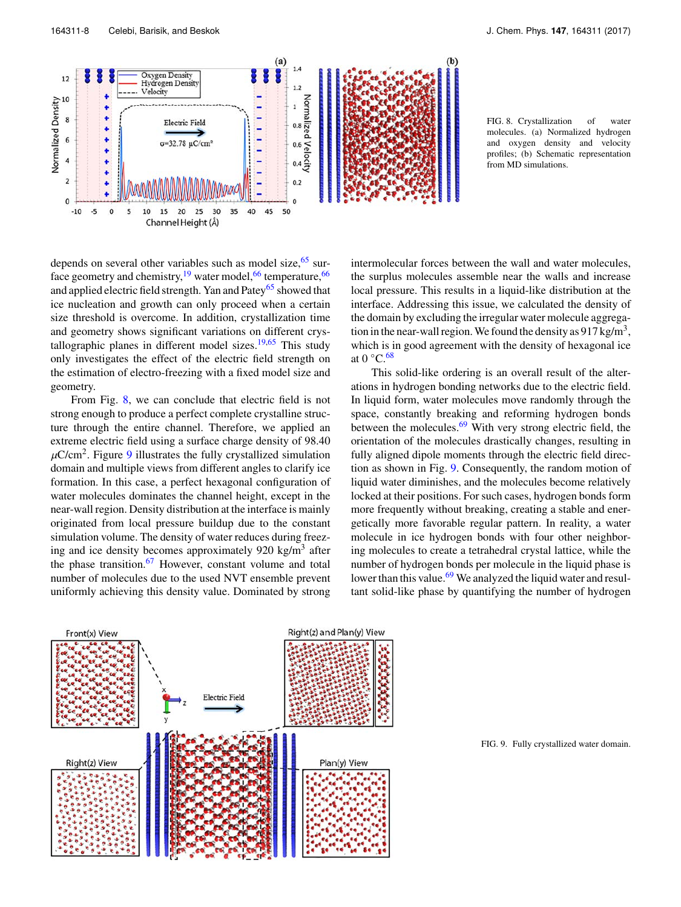<span id="page-8-0"></span>



depends on several other variables such as model size, <sup>[65](#page-10-10)</sup> sur-face geometry and chemistry,<sup>[19](#page-9-18)</sup> water model,<sup>[66](#page-10-11)</sup> temperature,<sup>66</sup> and applied electric field strength. Yan and Patey<sup>[65](#page-10-10)</sup> showed that ice nucleation and growth can only proceed when a certain size threshold is overcome. In addition, crystallization time and geometry shows significant variations on different crys-tallographic planes in different model sizes.<sup>[19,](#page-9-18)[65](#page-10-10)</sup> This study only investigates the effect of the electric field strength on the estimation of electro-freezing with a fixed model size and geometry.

From Fig. [8,](#page-8-0) we can conclude that electric field is not strong enough to produce a perfect complete crystalline structure through the entire channel. Therefore, we applied an extreme electric field using a surface charge density of 98.40  $\mu$ C/cm<sup>2</sup>. Figure [9](#page-8-1) illustrates the fully crystallized simulation domain and multiple views from different angles to clarify ice domain and multiple views from different angles to clarify ice formation. In this case, a perfect hexagonal configuration of water molecules dominates the channel height, except in the near-wall region. Density distribution at the interface is mainly originated from local pressure buildup due to the constant simulation volume. The density of water reduces during freezing and ice density becomes approximately 920 kg/m<sup>3</sup> after the phase transition.<sup>[67](#page-10-12)</sup> However, constant volume and total number of molecules due to the used NVT ensemble prevent uniformly achieving this density value. Dominated by strong intermolecular forces between the wall and water molecules, the surplus molecules assemble near the walls and increase local pressure. This results in a liquid-like distribution at the interface. Addressing this issue, we calculated the density of the domain by excluding the irregular water molecule aggregation in the near-wall region. We found the density as  $917 \text{ kg/m}^3$ , which is in good agreement with the density of hexagonal ice at  $0^{\circ}$ C.<sup>[68](#page-10-13)</sup>

This solid-like ordering is an overall result of the alterations in hydrogen bonding networks due to the electric field. In liquid form, water molecules move randomly through the space, constantly breaking and reforming hydrogen bonds between the molecules. $69$  With very strong electric field, the orientation of the molecules drastically changes, resulting in fully aligned dipole moments through the electric field direction as shown in Fig. [9.](#page-8-1) Consequently, the random motion of liquid water diminishes, and the molecules become relatively locked at their positions. For such cases, hydrogen bonds form more frequently without breaking, creating a stable and energetically more favorable regular pattern. In reality, a water molecule in ice hydrogen bonds with four other neighboring molecules to create a tetrahedral crystal lattice, while the number of hydrogen bonds per molecule in the liquid phase is lower than this value.<sup>[69](#page-10-14)</sup> We analyzed the liquid water and resultant solid-like phase by quantifying the number of hydrogen

<span id="page-8-1"></span>

FIG. 9. Fully crystallized water domain.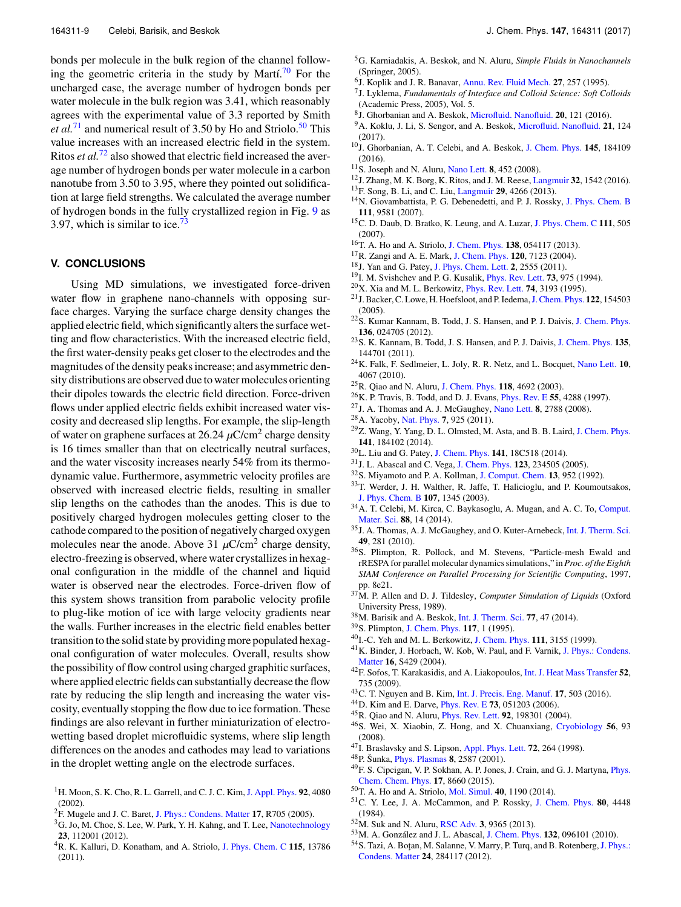bonds per molecule in the bulk region of the channel following the geometric criteria in the study by Martí. $\frac{70}{10}$  $\frac{70}{10}$  $\frac{70}{10}$  For the uncharged case, the average number of hydrogen bonds per water molecule in the bulk region was 3.41, which reasonably agrees with the experimental value of 3.3 reported by Smith *et al.*<sup>[71](#page-10-16)</sup> and numerical result of 3.[50](#page-9-47) by Ho and Striolo.<sup>50</sup> This value increases with an increased electric field in the system. Ritos *et al.*[72](#page-10-17) also showed that electric field increased the average number of hydrogen bonds per water molecule in a carbon nanotube from 3.50 to 3.95, where they pointed out solidification at large field strengths. We calculated the average number of hydrogen bonds in the fully crystallized region in Fig. [9](#page-8-1) as 3.97, which is similar to ice.<sup>[73](#page-10-18)</sup>

## **V. CONCLUSIONS**

Using MD simulations, we investigated force-driven water flow in graphene nano-channels with opposing surface charges. Varying the surface charge density changes the applied electric field, which significantly alters the surface wetting and flow characteristics. With the increased electric field, the first water-density peaks get closer to the electrodes and the magnitudes of the density peaks increase; and asymmetric density distributions are observed due to water molecules orienting their dipoles towards the electric field direction. Force-driven flows under applied electric fields exhibit increased water viscosity and decreased slip lengths. For example, the slip-length of water on graphene surfaces at  $26.24 \mu C/cm^2$  charge density<br>is 16 times smaller than that on electrically neutral surfaces is 16 times smaller than that on electrically neutral surfaces, and the water viscosity increases nearly 54% from its thermodynamic value. Furthermore, asymmetric velocity profiles are observed with increased electric fields, resulting in smaller slip lengths on the cathodes than the anodes. This is due to positively charged hydrogen molecules getting closer to the cathode compared to the position of negatively charged oxygen molecules near the anode. Above  $31 \mu C/cm^2$  charge density,<br>electro-freezing is observed, where water crystallizes in hexagelectro-freezing is observed, where water crystallizes in hexagonal configuration in the middle of the channel and liquid water is observed near the electrodes. Force-driven flow of this system shows transition from parabolic velocity profile to plug-like motion of ice with large velocity gradients near the walls. Further increases in the electric field enables better transition to the solid state by providing more populated hexagonal configuration of water molecules. Overall, results show the possibility of flow control using charged graphitic surfaces, where applied electric fields can substantially decrease the flow rate by reducing the slip length and increasing the water viscosity, eventually stopping the flow due to ice formation. These findings are also relevant in further miniaturization of electrowetting based droplet microfluidic systems, where slip length differences on the anodes and cathodes may lead to variations in the droplet wetting angle on the electrode surfaces.

- <span id="page-9-0"></span><sup>1</sup>H. Moon, S. K. Cho, R. L. Garrell, and C. J. C. Kim, [J. Appl. Phys.](https://doi.org/10.1063/1.1504171) 92, 4080 (2002).
- <span id="page-9-1"></span><sup>2</sup>F. Mugele and J. C. Baret, [J. Phys.: Condens. Matter](https://doi.org/10.1088/0953-8984/17/28/r01) **17**, R705 (2005).
- <span id="page-9-2"></span><sup>3</sup>G. Jo, M. Choe, S. Lee, W. Park, Y. H. Kahng, and T. Lee, [Nanotechnology](https://doi.org/10.1088/0957-4484/23/11/112001) **23**, 112001 (2012).
- <span id="page-9-3"></span><sup>4</sup>R. K. Kalluri, D. Konatham, and A. Striolo, [J. Phys. Chem. C](https://doi.org/10.1021/jp203086x) **115**, 13786 (2011).
- <span id="page-9-4"></span><sup>5</sup>G. Karniadakis, A. Beskok, and N. Aluru, *Simple Fluids in Nanochannels* (Springer, 2005).
- <span id="page-9-5"></span>6 J. Koplik and J. R. Banavar, [Annu. Rev. Fluid Mech.](https://doi.org/10.1146/annurev.fl.27.010195.001353) **27**, 257 (1995).
- <span id="page-9-6"></span>7 J. Lyklema, *Fundamentals of Interface and Colloid Science: Soft Colloids* (Academic Press, 2005), Vol. 5.
- <span id="page-9-7"></span>8 J. Ghorbanian and A. Beskok, [Microfluid. Nanofluid.](https://doi.org/10.1007/s10404-016-1790-6) **20**, 121 (2016).
- <span id="page-9-8"></span><sup>9</sup>A. Koklu, J. Li, S. Sengor, and A. Beskok, [Microfluid. Nanofluid.](https://doi.org/10.1007/s10404-017-1960-1) **21**, 124 (2017).
- <span id="page-9-9"></span><sup>10</sup>J. Ghorbanian, A. T. Celebi, and A. Beskok, [J. Chem. Phys.](https://doi.org/10.1063/1.4967294) **145**, 184109 (2016).
- <span id="page-9-10"></span><sup>11</sup>S. Joseph and N. Aluru, [Nano Lett.](https://doi.org/10.1021/nl072385q) **8**, 452 (2008).
- <span id="page-9-12"></span><span id="page-9-11"></span><sup>12</sup>J. Zhang, M. K. Borg, K. Ritos, and J. M. Reese, [Langmuir](https://doi.org/10.1021/acs.langmuir.5b04424) **32**, 1542 (2016). <sup>13</sup>F. Song, B. Li, and C. Liu, [Langmuir](https://doi.org/10.1021/la304763a) **29**, 4266 (2013).
- <span id="page-9-13"></span><sup>14</sup>N. Giovambattista, P. G. Debenedetti, and P. J. Rossky, [J. Phys. Chem. B](https://doi.org/10.1021/jp071957s) **111**, 9581 (2007).
- <span id="page-9-14"></span><sup>15</sup>C. D. Daub, D. Bratko, K. Leung, and A. Luzar, [J. Phys. Chem. C](https://doi.org/10.1021/jp067395e) **111**, 505 (2007).
- <span id="page-9-15"></span><sup>16</sup>T. A. Ho and A. Striolo, [J. Chem. Phys.](https://doi.org/10.1063/1.4789583) **138**, 054117 (2013).
- <span id="page-9-16"></span><sup>17</sup>R. Zangi and A. E. Mark, [J. Chem. Phys.](https://doi.org/10.1063/1.1687315) **120**, 7123 (2004).
- <span id="page-9-17"></span><sup>18</sup>J. Yan and G. Patey, [J. Phys. Chem. Lett.](https://doi.org/10.1021/jz201113m) **2**, 2555 (2011).
- <span id="page-9-18"></span><sup>19</sup>I. M. Svishchev and P. G. Kusalik, [Phys. Rev. Lett.](https://doi.org/10.1103/physrevlett.73.975) **73**, 975 (1994).
- <span id="page-9-19"></span><sup>20</sup>X. Xia and M. L. Berkowitz, [Phys. Rev. Lett.](https://doi.org/10.1103/physrevlett.74.3193) **74**, 3193 (1995).
- <span id="page-9-20"></span><sup>21</sup>J. Backer, C. Lowe, H. Hoefsloot, and P. Iedema,[J. Chem. Phys.](https://doi.org/10.1063/1.1883163) **122**, 154503 (2005).
- <span id="page-9-21"></span><sup>22</sup>S. Kumar Kannam, B. Todd, J. S. Hansen, and P. J. Daivis, [J. Chem. Phys.](https://doi.org/10.1063/1.3675904) **136**, 024705 (2012).
- <span id="page-9-22"></span><sup>23</sup>S. K. Kannam, B. Todd, J. S. Hansen, and P. J. Daivis, [J. Chem. Phys.](https://doi.org/10.1063/1.3648049) **135**, 144701 (2011).
- <span id="page-9-23"></span><sup>24</sup>K. Falk, F. Sedlmeier, L. Joly, R. R. Netz, and L. Bocquet, [Nano Lett.](https://doi.org/10.1021/nl1021046) **10**, 4067 (2010).
- <span id="page-9-24"></span><sup>25</sup>R. Qiao and N. Aluru, [J. Chem. Phys.](https://doi.org/10.1063/1.1543140) **118**, 4692 (2003).
- <sup>26</sup>K. P. Travis, B. Todd, and D. J. Evans, [Phys. Rev. E](https://doi.org/10.1103/physreve.55.4288) **55**, 4288 (1997).
- <span id="page-9-25"></span><sup>27</sup>J. A. Thomas and A. J. McGaughey, [Nano Lett.](https://doi.org/10.1021/nl8013617) **8**, 2788 (2008).
- <span id="page-9-26"></span><sup>28</sup>A. Yacoby, [Nat. Phys.](https://doi.org/10.1038/nphys2166) **7**, 925 (2011).
- <span id="page-9-27"></span><sup>29</sup>Z. Wang, Y. Yang, D. L. Olmsted, M. Asta, and B. B. Laird, [J. Chem. Phys.](https://doi.org/10.1063/1.4899176) **141**, 184102 (2014).
- <span id="page-9-28"></span><sup>30</sup>L. Liu and G. Patey, [J. Chem. Phys.](https://doi.org/10.1063/1.4896689) **141**, 18C518 (2014).
- <span id="page-9-29"></span><sup>31</sup>J. L. Abascal and C. Vega, [J. Chem. Phys.](https://doi.org/10.1063/1.2121687) **123**, 234505 (2005).
- <span id="page-9-30"></span><sup>32</sup>S. Miyamoto and P. A. Kollman, [J. Comput. Chem.](https://doi.org/10.1002/jcc.540130805) **13**, 952 (1992).
- <span id="page-9-31"></span><sup>33</sup>T. Werder, J. H. Walther, R. Jaffe, T. Halicioglu, and P. Koumoutsakos, [J. Phys. Chem. B](https://doi.org/10.1021/jp0268112) **107**, 1345 (2003).
- <span id="page-9-32"></span><sup>34</sup>A. T. Celebi, M. Kirca, C. Baykasoglu, A. Mugan, and A. C. To, [Comput.](https://doi.org/10.1016/j.commatsci.2014.02.040) [Mater. Sci.](https://doi.org/10.1016/j.commatsci.2014.02.040) **88**, 14 (2014).
- <span id="page-9-33"></span><sup>35</sup>J. A. Thomas, A. J. McGaughey, and O. Kuter-Arnebeck, [Int. J. Therm. Sci.](https://doi.org/10.1016/j.ijthermalsci.2009.07.008) **49**, 281 (2010).
- <span id="page-9-34"></span><sup>36</sup>S. Plimpton, R. Pollock, and M. Stevens, "Particle-mesh Ewald and rRESPA for parallel molecular dynamics simulations," in *Proc. of the Eighth SIAM Conference on Parallel Processing for Scientific Computing*, 1997,
- <span id="page-9-35"></span>pp. 8e21. <sup>37</sup>M. P. Allen and D. J. Tildesley, *Computer Simulation of Liquids* (Oxford University Press, 1989).
- <span id="page-9-36"></span><sup>38</sup>M. Barisik and A. Beskok, [Int. J. Therm. Sci.](https://doi.org/10.1016/j.ijthermalsci.2013.10.012) **77**, 47 (2014).
- <span id="page-9-37"></span><sup>39</sup>S. Plimpton, [J. Chem. Phys.](https://doi.org/10.1006/jcph.1995.1039) **117**, 1 (1995).
- <span id="page-9-38"></span><sup>40</sup>I.-C. Yeh and M. L. Berkowitz, [J. Chem. Phys.](https://doi.org/10.1063/1.479595) **111**, 3155 (1999).
- <span id="page-9-39"></span><sup>41</sup>K. Binder, J. Horbach, W. Kob, W. Paul, and F. Varnik, [J. Phys.: Condens.](https://doi.org/10.1088/0953-8984/16/5/006) [Matter](https://doi.org/10.1088/0953-8984/16/5/006) **16**, S429 (2004).
- <span id="page-9-40"></span><sup>42</sup>F. Sofos, T. Karakasidis, and A. Liakopoulos, [Int. J. Heat Mass Transfer](https://doi.org/10.1016/j.ijheatmasstransfer.2008.07.022) **52**, 735 (2009).
- <span id="page-9-41"></span><sup>43</sup>C. T. Nguyen and B. Kim, [Int. J. Precis. Eng. Manuf.](https://doi.org/10.1007/s12541-016-0063-3) **17**, 503 (2016).
- <span id="page-9-42"></span><sup>44</sup>D. Kim and E. Darve, [Phys. Rev. E](https://doi.org/10.1103/physreve.73.051203) **73**, 051203 (2006).
- <span id="page-9-43"></span><sup>45</sup>R. Qiao and N. Aluru, [Phys. Rev. Lett.](https://doi.org/10.1103/physrevlett.92.198301) **92**, 198301 (2004).
- <span id="page-9-44"></span><sup>46</sup>S. Wei, X. Xiaobin, Z. Hong, and X. Chuanxiang, [Cryobiology](https://doi.org/10.1016/j.cryobiol.2007.10.173) **56**, 93 (2008).
- <sup>47</sup>I. Braslavsky and S. Lipson, [Appl. Phys. Lett.](https://doi.org/10.1063/1.120705) **72**, 264 (1998).
- <span id="page-9-45"></span><sup>48</sup>P. Šunka, *[Phys. Plasmas](https://doi.org/10.1063/1.1356742)* **8**, 2587 (2001).
- <span id="page-9-46"></span><sup>49</sup>F. S. Cipcigan, V. P. Sokhan, A. P. Jones, J. Crain, and G. J. Martyna, [Phys.](https://doi.org/10.1039/c4cp05506c) [Chem. Chem. Phys.](https://doi.org/10.1039/c4cp05506c) **17**, 8660 (2015).
- <span id="page-9-47"></span><sup>50</sup>T. A. Ho and A. Striolo, [Mol. Simul.](https://doi.org/10.1080/08927022.2013.854893) **40**, 1190 (2014).
- <span id="page-9-48"></span><sup>51</sup>C. Y. Lee, J. A. McCammon, and P. Rossky, [J. Chem. Phys.](https://doi.org/10.1063/1.447226) **80**, 4448 (1984).
- <span id="page-9-49"></span><sup>52</sup>M. Suk and N. Aluru, [RSC Adv.](https://doi.org/10.1039/c3ra40661j) **3**, 9365 (2013).
- <span id="page-9-50"></span><sup>53</sup>M. A. González and J. L. Abascal, [J. Chem. Phys.](https://doi.org/10.1063/1.3330544) **132**, 096101 (2010).
- 54S. Tazi, A. Botan, M. Salanne, V. Marry, P. Turq, and B. Rotenberg, [J. Phys.:](https://doi.org/10.1088/0953-8984/24/28/284117) [Condens. Matter](https://doi.org/10.1088/0953-8984/24/28/284117) **24**, 284117 (2012).